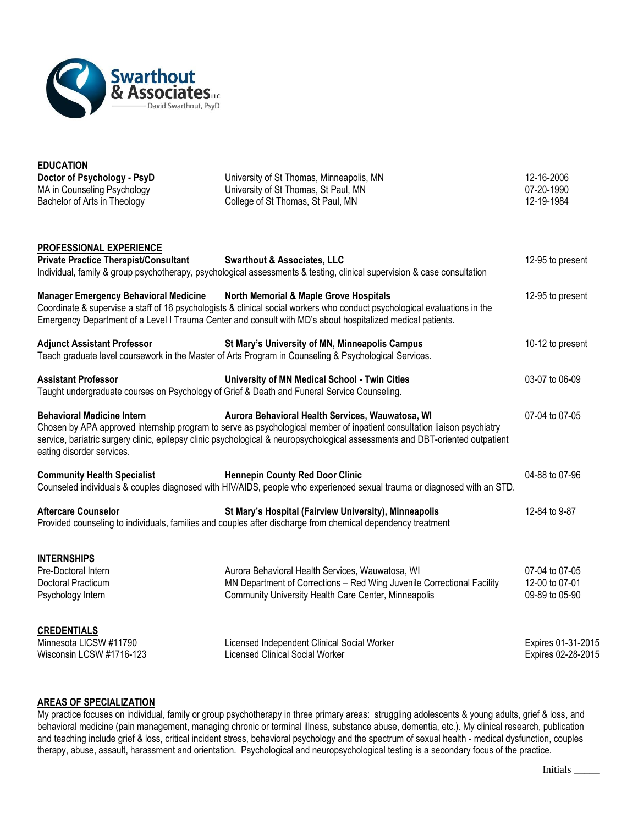

| <b>EDUCATION</b>                                                                                                          |                                                                                                                                                                                                                                                                                                              |                                                    |
|---------------------------------------------------------------------------------------------------------------------------|--------------------------------------------------------------------------------------------------------------------------------------------------------------------------------------------------------------------------------------------------------------------------------------------------------------|----------------------------------------------------|
| Doctor of Psychology - PsyD<br>MA in Counseling Psychology<br>Bachelor of Arts in Theology                                | University of St Thomas, Minneapolis, MN<br>University of St Thomas, St Paul, MN<br>College of St Thomas, St Paul, MN                                                                                                                                                                                        | 12-16-2006<br>07-20-1990<br>12-19-1984             |
| <b>PROFESSIONAL EXPERIENCE</b>                                                                                            |                                                                                                                                                                                                                                                                                                              |                                                    |
| <b>Private Practice Therapist/Consultant</b>                                                                              | <b>Swarthout &amp; Associates, LLC</b><br>Individual, family & group psychotherapy, psychological assessments & testing, clinical supervision & case consultation                                                                                                                                            | 12-95 to present                                   |
| <b>Manager Emergency Behavioral Medicine</b>                                                                              | North Memorial & Maple Grove Hospitals<br>Coordinate & supervise a staff of 16 psychologists & clinical social workers who conduct psychological evaluations in the<br>Emergency Department of a Level I Trauma Center and consult with MD's about hospitalized medical patients.                            | 12-95 to present                                   |
| <b>Adjunct Assistant Professor</b>                                                                                        | St Mary's University of MN, Minneapolis Campus<br>Teach graduate level coursework in the Master of Arts Program in Counseling & Psychological Services.                                                                                                                                                      | 10-12 to present                                   |
| <b>Assistant Professor</b><br>Taught undergraduate courses on Psychology of Grief & Death and Funeral Service Counseling. | University of MN Medical School - Twin Cities                                                                                                                                                                                                                                                                | 03-07 to 06-09                                     |
| <b>Behavioral Medicine Intern</b><br>eating disorder services.                                                            | Aurora Behavioral Health Services, Wauwatosa, WI<br>Chosen by APA approved internship program to serve as psychological member of inpatient consultation liaison psychiatry<br>service, bariatric surgery clinic, epilepsy clinic psychological & neuropsychological assessments and DBT-oriented outpatient | 07-04 to 07-05                                     |
| <b>Community Health Specialist</b>                                                                                        | <b>Hennepin County Red Door Clinic</b><br>Counseled individuals & couples diagnosed with HIV/AIDS, people who experienced sexual trauma or diagnosed with an STD.                                                                                                                                            | 04-88 to 07-96                                     |
| <b>Aftercare Counselor</b>                                                                                                | St Mary's Hospital (Fairview University), Minneapolis<br>Provided counseling to individuals, families and couples after discharge from chemical dependency treatment                                                                                                                                         | 12-84 to 9-87                                      |
| <b>INTERNSHIPS</b><br>Pre-Doctoral Intern<br>Doctoral Practicum<br>Psychology Intern                                      | Aurora Behavioral Health Services, Wauwatosa, WI<br>MN Department of Corrections - Red Wing Juvenile Correctional Facility<br>Community University Health Care Center, Minneapolis                                                                                                                           | 07-04 to 07-05<br>12-00 to 07-01<br>09-89 to 05-90 |
| <b>CREDENTIALS</b><br>Minnesota LICSW #11790<br>Wisconsin LCSW #1716-123                                                  | Licensed Independent Clinical Social Worker<br><b>Licensed Clinical Social Worker</b>                                                                                                                                                                                                                        | Expires 01-31-2015<br>Expires 02-28-2015           |

## **AREAS OF SPECIALIZATION**

My practice focuses on individual, family or group psychotherapy in three primary areas: struggling adolescents & young adults, grief & loss, and behavioral medicine (pain management, managing chronic or terminal illness, substance abuse, dementia, etc.). My clinical research, publication and teaching include grief & loss, critical incident stress, behavioral psychology and the spectrum of sexual health - medical dysfunction, couples therapy, abuse, assault, harassment and orientation. Psychological and neuropsychological testing is a secondary focus of the practice.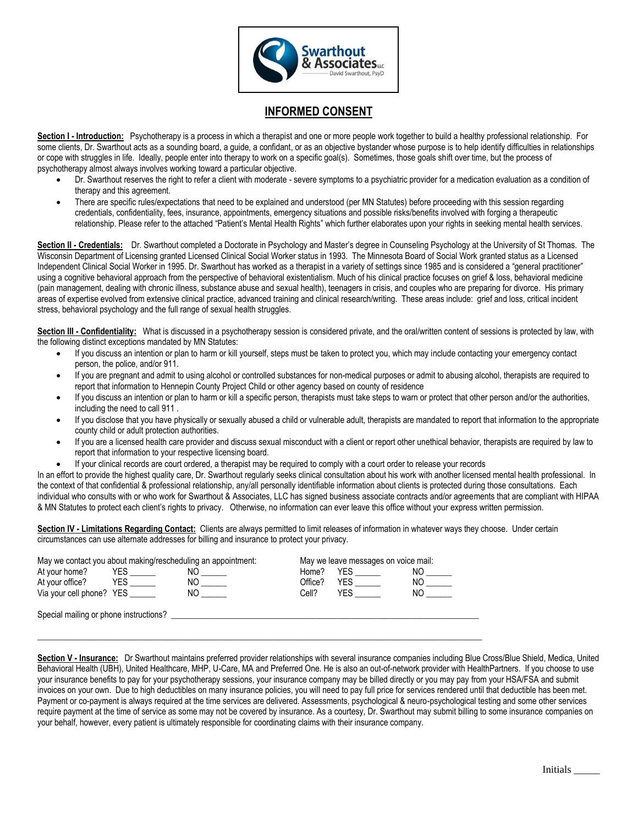

## **INFORMED CONSENT**

**Section I - Introduction:** Psychotherapy is a process in which a therapist and one or more people work together to build a healthy professional relationship. For some clients, Dr. Swarthout acts as a sounding board, a guide, a confidant, or as an objective bystander whose purpose is to help identify difficulties in relationships or cope with struggles in life. Ideally, people enter into therapy to work on a specific goal(s). Sometimes, those goals shift over time, but the process of psychotherapy almost always involves working toward a particular objective.

- Dr. Swarthout reserves the right to refer a client with moderate severe symptoms to a psychiatric provider for a medication evaluation as a condition of therapy and this agreement.
- There are specific rules/expectations that need to be explained and understood (per MN Statutes) before proceeding with this session regarding credentials, confidentiality, fees, insurance, appointments, emergency situations and possible risks/benefits involved with forging a therapeutic relationship. Please refer to the attached "Patient's Mental Health Rights" which further elaborates upon your rights in seeking mental health services.

**Section II - Credentials:** Dr. Swarthout completed a Doctorate in Psychology and Master's degree in Counseling Psychology at the University of St Thomas. The Wisconsin Department of Licensing granted Licensed Clinical Social Worker status in 1993. The Minnesota Board of Social Work granted status as a Licensed Independent Clinical Social Worker in 1995. Dr. Swarthout has worked as a therapist in a variety of settings since 1985 and is considered a "general practitioner" using a cognitive behavioral approach from the perspective of behavioral existentialism. Much of his clinical practice focuses on grief & loss, behavioral medicine (pain management, dealing with chronic illness, substance abuse and sexual health), teenagers in crisis, and couples who are preparing for divorce. His primary areas of expertise evolved from extensive clinical practice, advanced training and clinical research/writing. These areas include: grief and loss, critical incident stress, behavioral psychology and the full range of sexual health struggles.

**Section III - Confidentiality:** What is discussed in a psychotherapy session is considered private, and the oral/written content of sessions is protected by law, with the following distinct exceptions mandated by MN Statutes:

- If you discuss an intention or plan to harm or kill yourself, steps must be taken to protect you, which may include contacting your emergency contact person, the police, and/or 911.
- If you are pregnant and admit to using alcohol or controlled substances for non-medical purposes or admit to abusing alcohol, therapists are required to report that information to Hennepin County Project Child or other agency based on county of residence
- If you discuss an intention or plan to harm or kill a specific person, therapists must take steps to warn or protect that other person and/or the authorities, including the need to call 911 .
- If you disclose that you have physically or sexually abused a child or vulnerable adult, therapists are mandated to report that information to the appropriate county child or adult protection authorities.
- If you are a licensed health care provider and discuss sexual misconduct with a client or report other unethical behavior, therapists are required by law to report that information to your respective licensing board.
- If your clinical records are court ordered, a therapist may be required to comply with a court order to release your records

In an effort to provide the highest quality care, Dr. Swarthout regularly seeks clinical consultation about his work with another licensed mental health professional. In the context of that confidential & professional relationship, any/all personally identifiable information about clients is protected during those consultations. Each individual who consults with or who work for Swarthout & Associates, LLC has signed business associate contracts and/or agreements that are compliant with HIPAA & MN Statutes to protect each client's rights to privacy. Otherwise, no information can ever leave this office without your express written permission.

**Section IV - Limitations Regarding Contact:** Clients are always permitted to limit releases of information in whatever ways they choose. Under certain circumstances can use alternate addresses for billing and insurance to protect your privacy.

| May we contact you about making/rescheduling an appointment: |     |         | May we leave messages on voice mail: |     |  |
|--------------------------------------------------------------|-----|---------|--------------------------------------|-----|--|
| At your home?<br>YES.                                        | ΝO  | Home?   | YES.                                 | NO  |  |
| <b>YES</b><br>At your office?                                | NO. | Office? | YES.                                 | NO. |  |
| Via your cell phone? YES                                     | ΝO  | Cell?   | YES                                  | NΟ  |  |
| Special mailing or phone instructions?                       |     |         |                                      |     |  |

 $\_$  ,  $\_$  ,  $\_$  ,  $\_$  ,  $\_$  ,  $\_$  ,  $\_$  ,  $\_$  ,  $\_$  ,  $\_$  ,  $\_$  ,  $\_$  ,  $\_$  ,  $\_$  ,  $\_$  ,  $\_$  ,  $\_$  ,  $\_$  ,  $\_$  ,  $\_$  ,  $\_$  ,  $\_$  ,  $\_$  ,  $\_$  ,  $\_$  ,  $\_$  ,  $\_$  ,  $\_$  ,  $\_$  ,  $\_$  ,  $\_$  ,  $\_$  ,  $\_$  ,  $\_$  ,  $\_$  ,  $\_$  ,  $\_$  ,

**Section V - Insurance:** Dr Swarthout maintains preferred provider relationships with several insurance companies including Blue Cross/Blue Shield, Medica, United Behavioral Health (UBH), United Healthcare, MHP, U-Care, MA and Preferred One. He is also an out-of-network provider with HealthPartners. If you choose to use your insurance benefits to pay for your psychotherapy sessions, your insurance company may be billed directly or you may pay from your HSA/FSA and submit invoices on your own. Due to high deductibles on many insurance policies, you will need to pay full price for services rendered until that deductible has been met. Payment or co-payment is always required at the time services are delivered. Assessments, psychological & neuro-psychological testing and some other services require payment at the time of service as some may not be covered by insurance. As a courtesy, Dr. Swarthout may submit billing to some insurance companies on your behalf, however, every patient is ultimately responsible for coordinating claims with their insurance company.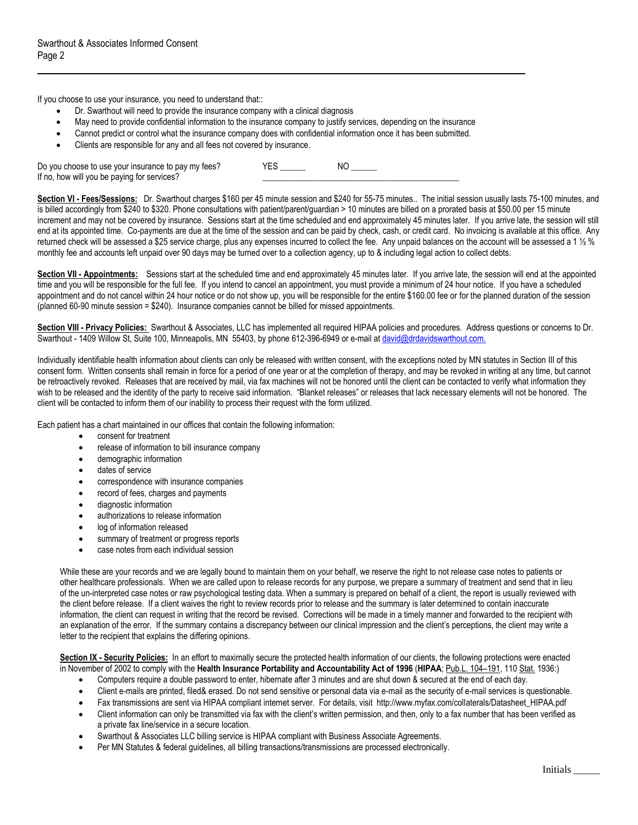If you choose to use your insurance, you need to understand that::

- Dr. Swarthout will need to provide the insurance company with a clinical diagnosis
- May need to provide confidential information to the insurance company to justify services, depending on the insurance
- Cannot predict or control what the insurance company does with confidential information once it has been submitted.
- Clients are responsible for any and all fees not covered by insurance.

Do you choose to use your insurance to pay my fees? YES \_\_\_\_\_\_ NO \_\_\_\_\_ If no, how will you be paying for services?

**Section VI - Fees/Sessions:** Dr. Swarthout charges \$160 per 45 minute session and \$240 for 55-75 minutes.. The initial session usually lasts 75-100 minutes, and is billed accordingly from \$240 to \$320. Phone consultations with patient/parent/guardian > 10 minutes are billed on a prorated basis at \$50.00 per 15 minute increment and may not be covered by insurance. Sessions start at the time scheduled and end approximately 45 minutes later. If you arrive late, the session will still end at its appointed time. Co-payments are due at the time of the session and can be paid by check, cash, or credit card. No invoicing is available at this office. Any returned check will be assessed a \$25 service charge, plus any expenses incurred to collect the fee. Any unpaid balances on the account will be assessed a 1 ½ % monthly fee and accounts left unpaid over 90 days may be turned over to a collection agency, up to & including legal action to collect debts.

**Section VII - Appointments:** Sessions start at the scheduled time and end approximately 45 minutes later. If you arrive late, the session will end at the appointed time and you will be responsible for the full fee. If you intend to cancel an appointment, you must provide a minimum of 24 hour notice. If you have a scheduled appointment and do not cancel within 24 hour notice or do not show up, you will be responsible for the entire \$160.00 fee or for the planned duration of the session (planned 60-90 minute session = \$240). Insurance companies cannot be billed for missed appointments.

**Section VIII - Privacy Policies:** Swarthout & Associates, LLC has implemented all required HIPAA policies and procedures. Address questions or concerns to Dr. Swarthout - 1409 Willow St, Suite 100, Minneapolis, MN 55403, by phone 612-396-6949 or e-mail at [david@drdavidswarthout.com.](mailto:david@drdavidswarthout.com.)

Individually identifiable health information about clients can only be released with written consent, with the exceptions noted by MN statutes in Section III of this consent form. Written consents shall remain in force for a period of one year or at the completion of therapy, and may be revoked in writing at any time, but cannot be retroactively revoked. Releases that are received by mail, via fax machines will not be honored until the client can be contacted to verify what information they wish to be released and the identity of the party to receive said information. "Blanket releases" or releases that lack necessary elements will not be honored. The client will be contacted to inform them of our inability to process their request with the form utilized.

Each patient has a chart maintained in our offices that contain the following information:

- consent for treatment
- release of information to bill insurance company
- demographic information
- dates of service
- correspondence with insurance companies
- record of fees, charges and payments
- diagnostic information
- authorizations to release information
- log of information released
- summary of treatment or progress reports
- case notes from each individual session

While these are your records and we are legally bound to maintain them on your behalf, we reserve the right to not release case notes to patients or other healthcare professionals. When we are called upon to release records for any purpose, we prepare a summary of treatment and send that in lieu of the un-interpreted case notes or raw psychological testing data. When a summary is prepared on behalf of a client, the report is usually reviewed with the client before release. If a client waives the right to review records prior to release and the summary is later determined to contain inaccurate information, the client can request in writing that the record be revised. Corrections will be made in a timely manner and forwarded to the recipient with an explanation of the error. If the summary contains a discrepancy between our clinical impression and the client's perceptions, the client may write a letter to the recipient that explains the differing opinions.

**Section IX - Security Policies:** In an effort to maximally secure the protected health information of our clients, the following protections were enacted in November of 2002 to comply with the **Health Insurance Portability and Accountability Act of 1996** (**HIPAA**; [Pub.L. 104](http://www.law.cornell.edu/jureeka/index.php?doc=USPubLaws&cong=104&no=191)–191, 11[0 Stat.](http://en.wikipedia.org/wiki/United_States_Statutes_at_Large) 1936:)

- Computers require a double password to enter, hibernate after 3 minutes and are shut down & secured at the end of each day.
- Client e-mails are printed, filed& erased. Do not send sensitive or personal data via e-mail as the security of e-mail services is questionable.
- Fax transmissions are sent via HIPAA compliant internet server. For details, visit http://www.myfax.com/collaterals/Datasheet\_HIPAA.pdf
- Client information can only be transmitted via fax with the client's written permission, and then, only to a fax number that has been verified as a private fax line/service in a secure location.
- Swarthout & Associates LLC billing service is HIPAA compliant with Business Associate Agreements.
- Per MN Statutes & federal guidelines, all billing transactions/transmissions are processed electronically.